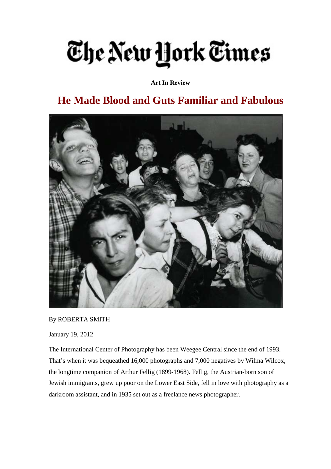## The New York Times

**Art In Review** 

## **He Made Blood and Guts Familiar and Fabulous**



## By ROBERTA SMITH

January 19, 2012

The International Center of Photography has been Weegee Central since the end of 1993. That's when it was bequeathed 16,000 photographs and 7,000 negatives by Wilma Wilcox, the longtime companion of Arthur Fellig (1899-1968). Fellig, the Austrian-born son of Jewish immigrants, grew up poor on the Lower East Side, fell in love with photography as a darkroom assistant, and in 1935 set out as a freelance news photographer.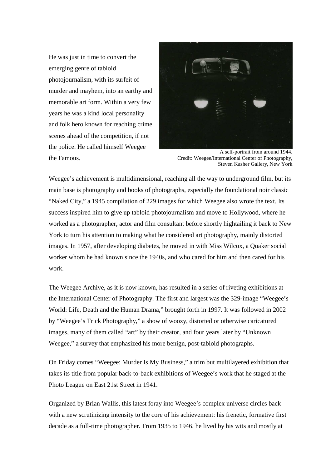He was just in time to convert the emerging genre of tabloid photojournalism, with its surfeit of murder and mayhem, into an earthy and memorable art form. Within a very few years he was a kind local personality and folk hero known for reaching crime scenes ahead of the competition, if not the police. He called himself Weegee the Famous.



A self-portrait from around 1944. Credit: Weegee/International Center of Photography, Steven Kasher Gallery, New York

Weegee's achievement is multidimensional, reaching all the way to underground film, but its main base is photography and books of photographs, especially the foundational noir classic "Naked City," a 1945 compilation of 229 images for which Weegee also wrote the text. Its success inspired him to give up tabloid photojournalism and move to Hollywood, where he worked as a photographer, actor and film consultant before shortly hightailing it back to New York to turn his attention to making what he considered art photography, mainly distorted images. In 1957, after developing diabetes, he moved in with Miss Wilcox, a Quaker social worker whom he had known since the 1940s, and who cared for him and then cared for his work.

The Weegee Archive, as it is now known, has resulted in a series of riveting exhibitions at the International Center of Photography. The first and largest was the 329-image "Weegee's World: Life, Death and the Human Drama," brought forth in 1997. It was followed in 2002 by "Weegee's Trick Photography," a show of woozy, distorted or otherwise caricatured images, many of them called "art" by their creator, and four years later by "Unknown Weegee," a survey that emphasized his more benign, post-tabloid photographs.

On Friday comes "Weegee: Murder Is My Business," a trim but multilayered exhibition that takes its title from popular back-to-back exhibitions of Weegee's work that he staged at the Photo League on East 21st Street in 1941.

Organized by Brian Wallis, this latest foray into Weegee's complex universe circles back with a new scrutinizing intensity to the core of his achievement: his frenetic, formative first decade as a full-time photographer. From 1935 to 1946, he lived by his wits and mostly at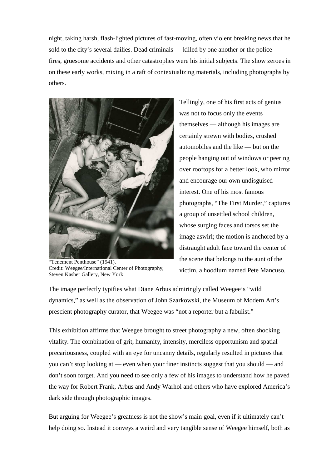night, taking harsh, flash-lighted pictures of fast-moving, often violent breaking news that he sold to the city's several dailies. Dead criminals — killed by one another or the police fires, gruesome accidents and other catastrophes were his initial subjects. The show zeroes in on these early works, mixing in a raft of contextualizing materials, including photographs by others.



"Tenement Penthouse" (1941). Credit: Weegee/International Center of Photography, Steven Kasher Gallery, New York

Tellingly, one of his first acts of genius was not to focus only the events themselves — although his images are certainly strewn with bodies, crushed automobiles and the like — but on the people hanging out of windows or peering over rooftops for a better look, who mirror and encourage our own undisguised interest. One of his most famous photographs, "The First Murder," captures a group of unsettled school children, whose surging faces and torsos set the image aswirl; the motion is anchored by a distraught adult face toward the center of the scene that belongs to the aunt of the victim, a hoodlum named Pete Mancuso.

The image perfectly typifies what Diane Arbus admiringly called Weegee's "wild dynamics," as well as the observation of John Szarkowski, the Museum of Modern Art's prescient photography curator, that Weegee was "not a reporter but a fabulist."

This exhibition affirms that Weegee brought to street photography a new, often shocking vitality. The combination of grit, humanity, intensity, merciless opportunism and spatial precariousness, coupled with an eye for uncanny details, regularly resulted in pictures that you can't stop looking at — even when your finer instincts suggest that you should — and don't soon forget. And you need to see only a few of his images to understand how he paved the way for Robert Frank, Arbus and Andy Warhol and others who have explored America's dark side through photographic images.

But arguing for Weegee's greatness is not the show's main goal, even if it ultimately can't help doing so. Instead it conveys a weird and very tangible sense of Weegee himself, both as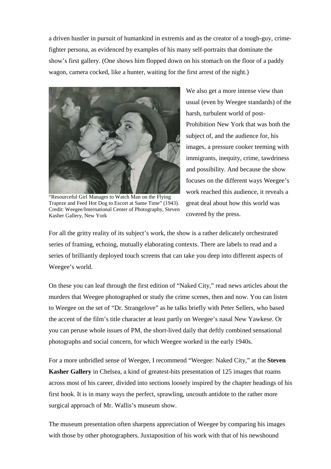a driven hustler in pursuit of humankind in extremis and as the creator of a tough-guy, crimefighter persona, as evidenced by examples of his many self-portraits that dominate the show's first gallery. (One shows him flopped down on his stomach on the floor of a paddy wagon, camera cocked, like a hunter, waiting for the first arrest of the night.)



"Resourceful Girl Manages to Watch Man on the Flying Trapeze and Feed Hot Dog to Escort at Same Time" (1943). Credit: Weegee/International Center of Photography, Steven Kasher Gallery, New York

We also get a more intense view than usual (even by Weegee standards) of the harsh, turbulent world of post-Prohibition New York that was both the subject of, and the audience for, his images, a pressure cooker teeming with immigrants, inequity, crime, tawdriness and possibility. And because the show focuses on the different ways Weegee's work reached this audience, it reveals a great deal about how this world was covered by the press.

For all the gritty reality of its subject's work, the show is a rather delicately orchestrated series of framing, echoing, mutually elaborating contexts. There are labels to read and a series of brilliantly deployed touch screens that can take you deep into different aspects of Weegee's world.

On these you can leaf through the first edition of "Naked City," read news articles about the murders that Weegee photographed or study the crime scenes, then and now. You can listen to Weegee on the set of "Dr. Strangelove" as he talks briefly with Peter Sellers, who based the accent of the film's title character at least partly on Weegee's nasal New Yawkese. Or you can peruse whole issues of PM, the short-lived daily that deftly combined sensational photographs and social concern, for which Weegee worked in the early 1940s.

For a more unbridled sense of Weegee, I recommend "Weegee: Naked City," at the **Steven Kasher Gallery** in Chelsea, a kind of greatest-hits presentation of 125 images that roams across most of his career, divided into sections loosely inspired by the chapter headings of his first book. It is in many ways the perfect, sprawling, uncouth antidote to the rather more surgical approach of Mr. Wallis's museum show.

The museum presentation often sharpens appreciation of Weegee by comparing his images with those by other photographers. Juxtaposition of his work with that of his newshound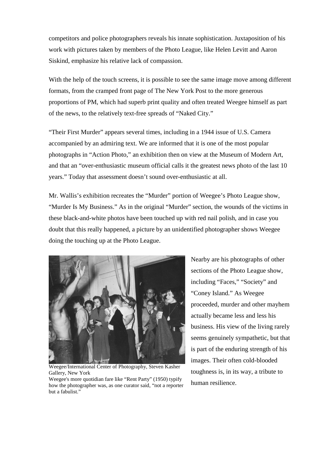competitors and police photographers reveals his innate sophistication. Juxtaposition of his work with pictures taken by members of the Photo League, like Helen Levitt and Aaron Siskind, emphasize his relative lack of compassion.

With the help of the touch screens, it is possible to see the same image move among different formats, from the cramped front page of The New York Post to the more generous proportions of PM, which had superb print quality and often treated Weegee himself as part of the news, to the relatively text-free spreads of "Naked City."

"Their First Murder" appears several times, including in a 1944 issue of U.S. Camera accompanied by an admiring text. We are informed that it is one of the most popular photographs in "Action Photo," an exhibition then on view at the Museum of Modern Art, and that an "over-enthusiastic museum official calls it the greatest news photo of the last 10 years." Today that assessment doesn't sound over-enthusiastic at all.

Mr. Wallis's exhibition recreates the "Murder" portion of Weegee's Photo League show, "Murder Is My Business." As in the original "Murder" section, the wounds of the victims in these black-and-white photos have been touched up with red nail polish, and in case you doubt that this really happened, a picture by an unidentified photographer shows Weegee doing the touching up at the Photo League.



Weegee/International Center of Photography, Steven Kasher Gallery, New York

Weegee's more quotidian fare like "Rent Party" (1950) typify how the photographer was, as one curator said, "not a reporter but a fabulist."

Nearby are his photographs of other sections of the Photo League show, including "Faces," "Society" and "Coney Island." As Weegee proceeded, murder and other mayhem actually became less and less his business. His view of the living rarely seems genuinely sympathetic, but that is part of the enduring strength of his images. Their often cold-blooded toughness is, in its way, a tribute to human resilience.